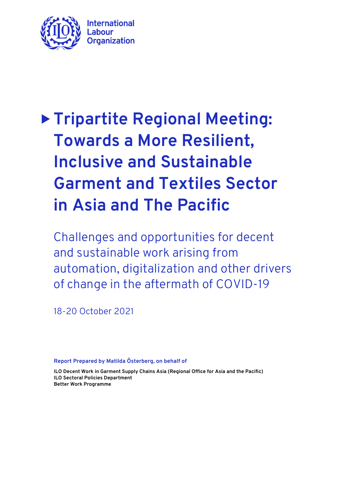

Challenges and opportunities for decent and sustainable work arising from automation, digitalization and other drivers of change in the aftermath of COVID-19

18-20 October 2021

**Report Prepared by Matilda Österberg, on behalf of** 

**ILO Decent Work in Garment Supply Chains Asia (Regional Office for Asia and the Pacific) ILO Sectoral Policies Department Better Work Programme**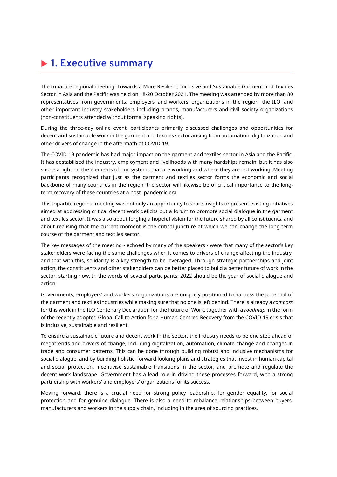# **1. Executive summary**

The tripartite regional meeting: Towards a More Resilient, Inclusive and Sustainable Garment and Textiles Sector in Asia and the Pacific was held on 18-20 October 2021. The meeting was attended by more than 80 representatives from governments, employers' and workers' organizations in the region, the ILO, and other important industry stakeholders including brands, manufacturers and civil society organizations (non-constituents attended without formal speaking rights).

During the three-day online event, participants primarily discussed challenges and opportunities for decent and sustainable work in the garment and textiles sector arising from automation, digitalization and other drivers of change in the aftermath of COVID-19.

The COVID-19 pandemic has had major impact on the garment and textiles sector in Asia and the Pacific. It has destabilised the industry, employment and livelihoods with many hardships remain, but it has also shone a light on the elements of our systems that are working and where they are not working. Meeting participants recognized that just as the garment and textiles sector forms the economic and social backbone of many countries in the region, the sector will likewise be of critical importance to the longterm recovery of these countries at a post- pandemic era.

This tripartite regional meeting was not only an opportunity to share insights or present existing initiatives aimed at addressing critical decent work deficits but a forum to promote social dialogue in the garment and textiles sector. It was also about forging a hopeful vision for the future shared by all constituents, and about realising that the current moment is the critical juncture at which we can change the long-term course of the garment and textiles sector.

The key messages of the meeting - echoed by many of the speakers - were that many of the sector's key stakeholders were facing the same challenges when it comes to drivers of change affecting the industry, and that with this, solidarity is a key strength to be leveraged. Through strategic partnerships and joint action, the constituents and other stakeholders can be better placed to build a better future of work in the sector, starting now. In the words of several participants, 2022 should be the year of social dialogue and action.

Governments, employers' and workers' organizations are uniquely positioned to harness the potential of the garment and textiles industries while making sure that no one is left behind. There is already a *compass* for this work in the ILO Centenary Declaration for the Future of Work, together with a *roadmap* in the form of the recently adopted Global Call to Action for a Human-Centred Recovery from the COVID-19 crisis that is inclusive, sustainable and resilient.

To ensure a sustainable future and decent work in the sector, the industry needs to be one step ahead of megatrends and drivers of change, including digitalization, automation, climate change and changes in trade and consumer patterns. This can be done through building robust and inclusive mechanisms for social dialogue, and by building holistic, forward looking plans and strategies that invest in human capital and social protection, incentivise sustainable transitions in the sector, and promote and regulate the decent work landscape. Government has a lead role in driving these processes forward, with a strong partnership with workers' and employers' organizations for its success.

Moving forward, there is a crucial need for strong policy leadership, for gender equality, for social protection and for genuine dialogue. There is also a need to rebalance relationships between buyers, manufacturers and workers in the supply chain, including in the area of sourcing practices.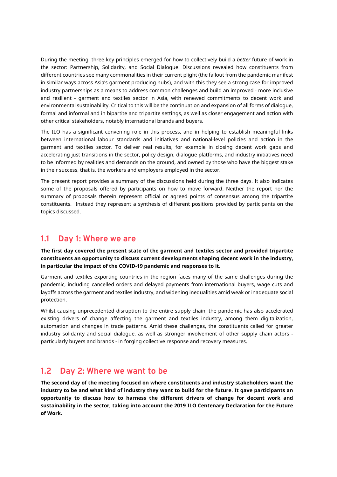During the meeting, three key principles emerged for how to collectively build a *better* future of work in the sector: Partnership, Solidarity, and Social Dialogue. Discussions revealed how constituents from different countries see many commonalities in their current plight (the fallout from the pandemic manifest in similar ways across Asia's garment producing hubs), and with this they see a strong case for improved industry partnerships as a means to address common challenges and build an improved - more inclusive and resilient - garment and textiles sector in Asia, with renewed commitments to decent work and environmental sustainability. Critical to this will be the continuation and expansion of all forms of dialogue, formal and informal and in bipartite and tripartite settings, as well as closer engagement and action with other critical stakeholders, notably international brands and buyers.

The ILO has a significant convening role in this process, and in helping to establish meaningful links between international labour standards and initiatives and national-level policies and action in the garment and textiles sector. To deliver real results, for example in closing decent work gaps and accelerating just transitions in the sector, policy design, dialogue platforms, and industry initiatives need to be informed by realities and demands on the ground, and owned by those who have the biggest stake in their success, that is, the workers and employers employed in the sector.

The present report provides a summary of the discussions held during the three days. It also indicates some of the proposals offered by participants on how to move forward. Neither the report nor the summary of proposals therein represent official or agreed points of consensus among the tripartite constituents. Instead they represent a synthesis of different positions provided by participants on the topics discussed.

### **1.1 Day 1: Where we are**

**The first day covered the present state of the garment and textiles sector and provided tripartite constituents an opportunity to discuss current developments shaping decent work in the industry, in particular the impact of the COVID-19 pandemic and responses to it.**

Garment and textiles exporting countries in the region faces many of the same challenges during the pandemic, including cancelled orders and delayed payments from international buyers, wage cuts and layoffs across the garment and textiles industry, and widening inequalities amid weak or inadequate social protection.

Whilst causing unprecedented disruption to the entire supply chain, the pandemic has also accelerated existing drivers of change affecting the garment and textiles industry, among them digitalization, automation and changes in trade patterns. Amid these challenges, the constituents called for greater industry solidarity and social dialogue, as well as stronger involvement of other supply chain actors particularly buyers and brands - in forging collective response and recovery measures.

### **1.2 Day 2: Where we want to be**

**The second day of the meeting focused on where constituents and industry stakeholders want the industry to be and what kind of industry they want to build for the future. It gave participants an opportunity to discuss how to harness the different drivers of change for decent work and sustainability in the sector, taking into account the 2019 ILO Centenary Declaration for the Future of Work.**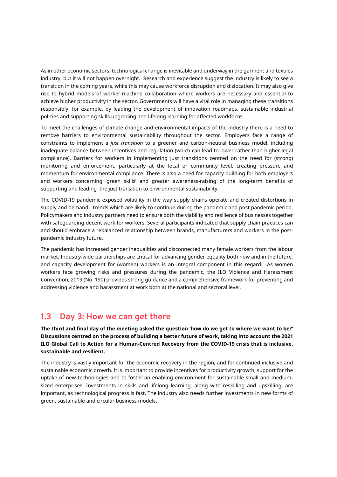As in other economic sectors, technological change is inevitable and underway in the garment and textiles industry, but it will not happen overnight. Research and experience suggest the industry is likely to see a transition in the coming years, while this may cause workforce disruption and dislocation. It may also give rise to hybrid models of worker-machine collaboration where workers are necessary and essential to achieve higher productivity in the sector. Governments will have a vital role in managing these transitions responsibly, for example, by leading the development of innovation roadmaps, sustainable industrial policies and supporting skills upgrading and lifelong learning for affected workforce.

To meet the challenges of climate change and environmental impacts of the industry there is a need to remove barriers to environmental sustainability throughout the sector. Employers face a range of constraints to implement a *just transition* to a greener and carbon-neutral business model, including inadequate balance between incentives and regulation (which can lead to lower rather than higher legal compliance). Barriers for workers in implementing just transitions centred on the need for (strong) monitoring and enforcement, particularly at the local or community level, creating pressure and momentum for environmental compliance. There is also a need for capacity building for both employers and workers concerning 'green skills' and greater awareness-raising of the long-term benefits of supporting and leading the just transition to environmental sustainability.

The COVID-19 pandemic exposed volatility in the way supply chains operate and created distortions in supply and demand - trends which are likely to continue during the pandemic and post pandemic period. Policymakers and industry partners need to ensure both the viability and resilience of businesses together with safeguarding decent work for workers. Several participants indicated that supply chain practices can and should embrace a rebalanced relationship between brands, manufacturers and workers in the postpandemic industry future.

The pandemic has increased gender inequalities and disconnected many female workers from the labour market. Industry-wide partnerships are critical for advancing gender equality both now and in the future, and capacity development for (women) workers is an integral component in this regard. As women workers face growing risks and pressures during the pandemic, the ILO Violence and Harassment Convention, 2019 (No. 190) provides strong guidance and a comprehensive framework for preventing and addressing violence and harassment at work both at the national and sectoral level.

#### **1.3 Day 3: How we can get there**

**The third and final day of the meeting asked the question 'how do we get to where we want to be?' Discussions centred on the process of building a better future of work, taking into account the 2021 ILO Global Call to Action for a Human-Centred Recovery from the COVID-19 crisis that is inclusive, sustainable and resilient.** 

The industry is vastly important for the economic recovery in the region, and for continued inclusive and sustainable economic growth. It is important to provide incentives for productivity growth, support for the uptake of new technologies and to foster an enabling environment for sustainable small and mediumsized enterprises. Investments in skills and lifelong learning, along with reskilling and upskilling, are important, as technological progress is fast. The industry also needs further investments in new forms of green, sustainable and circular business models.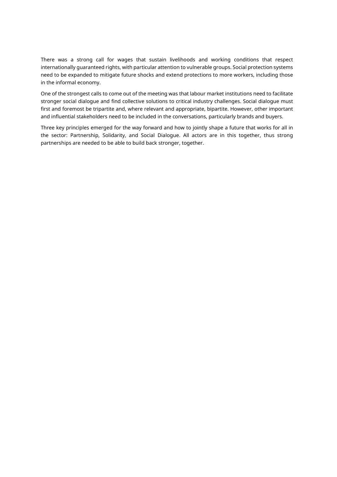There was a strong call for wages that sustain livelihoods and working conditions that respect internationally guaranteed rights, with particular attention to vulnerable groups. Social protection systems need to be expanded to mitigate future shocks and extend protections to more workers, including those in the informal economy.

One of the strongest calls to come out of the meeting was that labour market institutions need to facilitate stronger social dialogue and find collective solutions to critical industry challenges. Social dialogue must first and foremost be tripartite and, where relevant and appropriate, bipartite. However, other important and influential stakeholders need to be included in the conversations, particularly brands and buyers.

Three key principles emerged for the way forward and how to jointly shape a future that works for all in the sector: Partnership, Solidarity, and Social Dialogue. All actors are in this together, thus strong partnerships are needed to be able to build back stronger, together.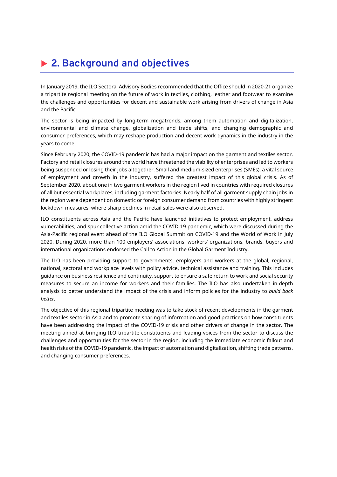# **2. Background and objectives**

In January 2019, the ILO Sectoral Advisory Bodies recommended that the Office should in 2020-21 organize a tripartite regional meeting on the future of work in textiles, clothing, leather and footwear to examine the challenges and opportunities for decent and sustainable work arising from drivers of change in Asia and the Pacific.

The sector is being impacted by long-term megatrends, among them automation and digitalization, environmental and climate change, globalization and trade shifts, and changing demographic and consumer preferences, which may reshape production and decent work dynamics in the industry in the years to come.

Since February 2020, the COVID-19 pandemic has had a major impact on the garment and textiles sector. Factory and retail closures around the world have threatened the viability of enterprises and led to workers being suspended or losing their jobs altogether. Small and medium-sized enterprises (SMEs), a vital source of employment and growth in the industry, suffered the greatest impact of this global crisis. As of September 2020, about one in two garment workers in the region lived in countries with required closures of all but essential workplaces, including garment factories. Nearly half of all garment supply chain jobs in the region were dependent on domestic or foreign consumer demand from countries with highly stringent lockdown measures, where sharp declines in retail sales were also observed.

ILO constituents across Asia and the Pacific have launched initiatives to protect employment, address vulnerabilities, and spur collective action amid the COVID-19 pandemic, which were discussed during the Asia-Pacific regional event ahead of the ILO Global Summit on COVID-19 and the World of Work in July 2020. During 2020, more than 100 employers' associations, workers' organizations, brands, buyers and international organizations endorsed the Call to Action in the Global Garment Industry.

The ILO has been providing support to governments, employers and workers at the global, regional, national, sectoral and workplace levels with policy advice, technical assistance and training. This includes guidance on business resilience and continuity, support to ensure a safe return to work and social security measures to secure an income for workers and their families. The ILO has also undertaken in-depth analysis to better understand the impact of the crisis and inform policies for the industry to *build back better.*

The objective of this regional tripartite meeting was to take stock of recent developments in the garment and textiles sector in Asia and to promote sharing of information and good practices on how constituents have been addressing the impact of the COVID-19 crisis and other drivers of change in the sector. The meeting aimed at bringing ILO tripartite constituents and leading voices from the sector to discuss the challenges and opportunities for the sector in the region, including the immediate economic fallout and health risks of the COVID-19 pandemic, the impact of automation and digitalization, shifting trade patterns, and changing consumer preferences.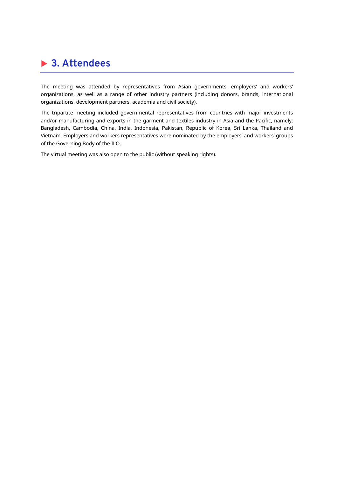# **3. Attendees**

The meeting was attended by representatives from Asian governments, employers' and workers' organizations, as well as a range of other industry partners (including donors, brands, international organizations, development partners, academia and civil society).

The tripartite meeting included governmental representatives from countries with major investments and/or manufacturing and exports in the garment and textiles industry in Asia and the Pacific, namely: Bangladesh, Cambodia, China, India, Indonesia, Pakistan, Republic of Korea, Sri Lanka, Thailand and Vietnam. Employers and workers representatives were nominated by the employers' and workers' groups of the Governing Body of the ILO.

The virtual meeting was also open to the public (without speaking rights).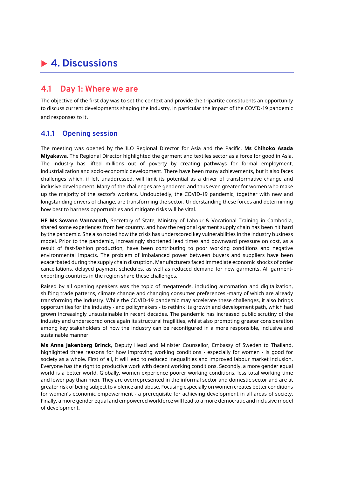# **4. Discussions**

### **4.1 Day 1: Where we are**

The objective of the first day was to set the context and provide the tripartite constituents an opportunity to discuss current developments shaping the industry, in particular the impact of the COVID-19 pandemic and responses to it.

#### **4.1.1 Opening session**

The meeting was opened by the ILO Regional Director for Asia and the Pacific, **Ms Chihoko Asada Miyakawa.** The Regional Director highlighted the garment and textiles sector as a force for good in Asia. The industry has lifted millions out of poverty by creating pathways for formal employment, industrialization and socio-economic development. There have been many achievements, but it also faces challenges which, if left unaddressed, will limit its potential as a driver of transformative change and inclusive development. Many of the challenges are gendered and thus even greater for women who make up the majority of the sector's workers. Undoubtedly, the COVID-19 pandemic, together with new and longstanding drivers of change, are transforming the sector. Understanding these forces and determining how best to harness opportunities and mitigate risks will be vital.

**HE Ms Sovann Vannaroth**, Secretary of State, Ministry of Labour & Vocational Training in Cambodia, shared some experiences from her country, and how the regional garment supply chain has been hit hard by the pandemic. She also noted how the crisis has underscored key vulnerabilities in the industry business model. Prior to the pandemic, increasingly shortened lead times and downward pressure on cost, as a result of fast-fashion production, have been contributing to poor working conditions and negative environmental impacts. The problem of imbalanced power between buyers and suppliers have been exacerbated during the supply chain disruption. Manufacturers faced immediate economic shocks of order cancellations, delayed payment schedules, as well as reduced demand for new garments. All garmentexporting countries in the region share these challenges.

Raised by all opening speakers was the topic of megatrends, including automation and digitalization, shifting trade patterns, climate change and changing consumer preferences -many of which are already transforming the industry. While the COVID-19 pandemic may accelerate these challenges, it also brings opportunities for the industry - and policymakers - to rethink its growth and development path, which had grown increasingly unsustainable in recent decades. The pandemic has increased public scrutiny of the industry and underscored once again its structural fragilities, whilst also prompting greater consideration among key stakeholders of how the industry can be reconfigured in a more responsible, inclusive and sustainable manner.

**Ms Anna Jakenberg Brinck**, Deputy Head and Minister Counsellor, Embassy of Sweden to Thailand, highlighted three reasons for how improving working conditions - especially for women - is good for society as a whole. First of all, it will lead to reduced inequalities and improved labour market inclusion. Everyone has the right to productive work with decent working conditions. Secondly, a more gender equal world is a better world. Globally, women experience poorer working conditions, less total working time and lower pay than men. They are overrepresented in the informal sector and domestic sector and are at greater risk of being subject to violence and abuse. Focusing especially on women creates better conditions for women's economic empowerment - a prerequisite for achieving development in all areas of society. Finally, a more gender equal and empowered workforce will lead to a more democratic and inclusive model of development.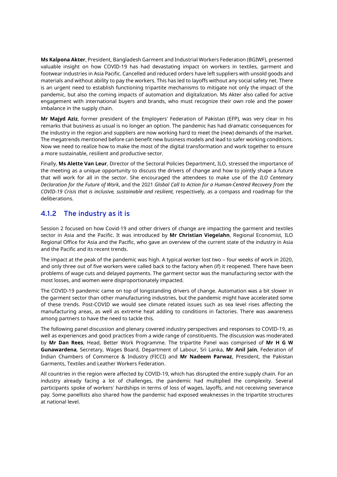**Ms Kalpona Akter**, President, Bangladesh Garment and Industrial Workers Federation (BGIWF), presented valuable insight on how COVID-19 has had devastating impact on workers in textiles, garment and footwear industries in Asia Pacific. Cancelled and reduced orders have left suppliers with unsold goods and materials and without ability to pay the workers. This has led to layoffs without any social safety net. There is an urgent need to establish functioning tripartite mechanisms to mitigate not only the impact of the pandemic, but also the coming impacts of automation and digitalization. Ms Akter also called for active engagement with international buyers and brands, who must recognize their own role and the power imbalance in the supply chain.

**Mr Majyd Aziz**, former president of the Employers' Federation of Pakistan (EFP), was very clear in his remarks that business as usual is no longer an option. The pandemic has had dramatic consequences for the industry in the region and suppliers are now working hard to meet the (new) demands of the market. The megatrends mentioned before can benefit new business models and lead to safer working conditions. Now we need to realize how to make the most of the digital transformation and work together to ensure a more sustainable, resilient and productive sector.

Finally, **Ms Alette Van Leur**, Director of the Sectoral Policies Department, ILO, stressed the importance of the meeting as a unique opportunity to discuss the drivers of change and how to jointly shape a future that will work for all in the sector. She encouraged the attendees to make use of the *ILO Centenary Declaration for the Future of Work*, and the 2021 *Global Call to Action for a Human-Centred Recovery from the COVID-19 Crisis that is inclusive, sustainable and resilient,* respectively, as a compass and roadmap for the deliberations.

#### **4.1.2 The industry as it is**

Session 2 focused on how Covid-19 and other drivers of change are impacting the garment and textiles sector in Asia and the Pacific. It was introduced by **Mr Christian Viegelahn**, Regional Economist, ILO Regional Office for Asia and the Pacific, who gave an overview of the current state of the industry in Asia and the Pacific and its recent trends.

The impact at the peak of the pandemic was high. A typical worker lost two – four weeks of work in 2020, and only three out of five workers were called back to the factory when (if) it reopened. There have been problems of wage cuts and delayed payments. The garment sector was the manufacturing sector with the most losses, and women were disproportionately impacted.

The COVID-19 pandemic came on top of longstanding drivers of change. Automation was a bit slower in the garment sector than other manufacturing industries, but the pandemic might have accelerated some of these trends. Post-COVID we would see climate related issues such as sea level rises affecting the manufacturing areas, as well as extreme heat adding to conditions in factories. There was awareness among partners to have the need to tackle this.

The following panel discussion and plenary covered industry perspectives and responses to COVID-19, as well as experiences and good practices from a wide range of constituents. The discussion was moderated by **Mr Dan Rees**, Head, Better Work Programme. The tripartite Panel was comprised of **Mr H G W Gunawardena**, Secretary, Wages Board, Department of Labour, Sri Lanka, **Mr Anil Jain**, Federation of Indian Chambers of Commerce & Industry (FICCI) and **Mr Nadeem Parwaz**, President, the Pakistan Garments, Textiles and Leather Workers Federation.

All countries in the region were affected by COVID-19, which has disrupted the entire supply chain. For an industry already facing a lot of challenges, the pandemic had multiplied the complexity. Several participants spoke of workers' hardships in terms of loss of wages, layoffs, and not receiving severance pay. Some panellists also shared how the pandemic had exposed weaknesses in the tripartite structures at national level.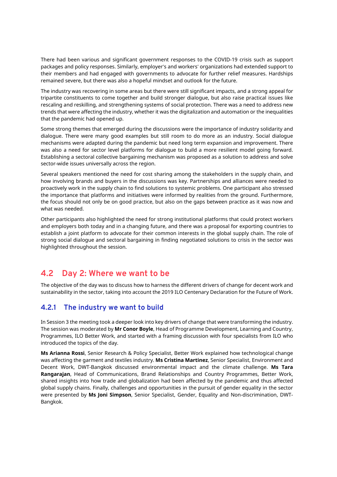There had been various and significant government responses to the COVID-19 crisis such as support packages and policy responses. Similarly, employer's and workers' organizations had extended support to their members and had engaged with governments to advocate for further relief measures. Hardships remained severe, but there was also a hopeful mindset and outlook for the future.

The industry was recovering in some areas but there were still significant impacts, and a strong appeal for tripartite constituents to come together and build stronger dialogue, but also raise practical issues like rescaling and reskilling, and strengthening systems of social protection. There was a need to address new trends that were affecting the industry, whether it was the digitalization and automation or the inequalities that the pandemic had opened up.

Some strong themes that emerged during the discussions were the importance of industry solidarity and dialogue. There were many good examples but still room to do more as an industry. Social dialogue mechanisms were adapted during the pandemic but need long term expansion and improvement. There was also a need for sector level platforms for dialogue to build a more resilient model going forward. Establishing a sectoral collective bargaining mechanism was proposed as a solution to address and solve sector-wide issues universally across the region.

Several speakers mentioned the need for cost sharing among the stakeholders in the supply chain, and how involving brands and buyers in the discussions was key. Partnerships and alliances were needed to proactively work in the supply chain to find solutions to systemic problems. One participant also stressed the importance that platforms and initiatives were informed by realities from the ground. Furthermore, the focus should not only be on good practice, but also on the gaps between practice as it was now and what was needed.

Other participants also highlighted the need for strong institutional platforms that could protect workers and employers both today and in a changing future, and there was a proposal for exporting countries to establish a joint platform to advocate for their common interests in the global supply chain. The role of strong social dialogue and sectoral bargaining in finding negotiated solutions to crisis in the sector was highlighted throughout the session.

### **4.2 Day 2: Where we want to be**

The objective of the day was to discuss how to harness the different drivers of change for decent work and sustainability in the sector, taking into account the 2019 ILO Centenary Declaration for the Future of Work.

### **4.2.1 The industry we want to build**

In Session 3 the meeting took a deeper look into key drivers of change that were transforming the industry. The session was moderated by **Mr Conor Boyle**, Head of Programme Development, Learning and Country, Programmes, ILO Better Work, and started with a framing discussion with four specialists from ILO who introduced the topics of the day.

**Ms Arianna Rossi**, Senior Research & Policy Specialist, Better Work explained how technological change was affecting the garment and textiles industry. **Ms Cristina Martinez**, Senior Specialist, Environment and Decent Work, DWT-Bangkok discussed environmental impact and the climate challenge. **Ms Tara Rangarajan**, Head of Communications, Brand Relationships and Country Programmes, Better Work, shared insights into how trade and globalization had been affected by the pandemic and thus affected global supply chains. Finally, challenges and opportunities in the pursuit of gender equality in the sector were presented by **Ms Joni Simpson**, Senior Specialist, Gender, Equality and Non-discrimination, DWT-Bangkok.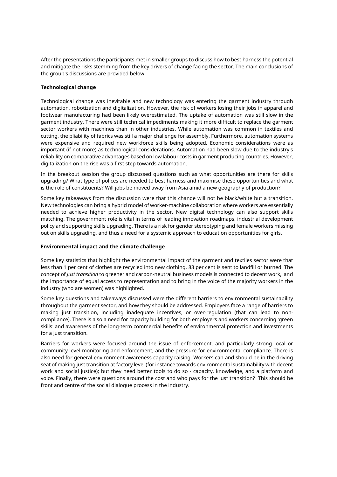After the presentations the participants met in smaller groups to discuss how to best harness the potential and mitigate the risks stemming from the key drivers of change facing the sector. The main conclusions of the group's discussions are provided below.

#### **Technological change**

Technological change was inevitable and new technology was entering the garment industry through automation, robotization and digitalization. However, the risk of workers losing their jobs in apparel and footwear manufacturing had been likely overestimated. The uptake of automation was still slow in the garment industry. There were still technical impediments making it more difficult to replace the garment sector workers with machines than in other industries. While automation was common in textiles and cutting, the pliability of fabrics was still a major challenge for assembly. Furthermore, automation systems were expensive and required new workforce skills being adopted. Economic considerations were as important (if not more) as technological considerations. Automation had been slow due to the industry's reliability on comparative advantages based on low labour costs in garment producing countries. However, digitalization on the rise was a first step towards automation.

In the breakout session the group discussed questions such as what opportunities are there for skills upgrading? What type of polices are needed to best harness and maximise these opportunities and what is the role of constituents? Will jobs be moved away from Asia amid a new geography of production?

Some key takeaways from the discussion were that this change will not be black/white but a transition. New technologies can bring a hybrid model of worker-machine collaboration where workers are essentially needed to achieve higher productivity in the sector. New digital technology can also support skills matching. The government role is vital in terms of leading innovation roadmaps, industrial development policy and supporting skills upgrading. There is a risk for gender stereotyping and female workers missing out on skills upgrading, and thus a need for a systemic approach to education opportunities for girls.

#### **Environmental impact and the climate challenge**

Some key statistics that highlight the environmental impact of the garment and textiles sector were that less than 1 per cent of clothes are recycled into new clothing, 83 per cent is sent to landfill or burned. The concept of *Just transition* to greener and carbon-neutral business models is connected to decent work, and the importance of equal access to representation and to bring in the voice of the majority workers in the industry (who are women) was highlighted.

Some key questions and takeaways discussed were the different barriers to environmental sustainability throughout the garment sector, and how they should be addressed. Employers face a range of barriers to making just transition, including inadequate incentives, or over-regulation (that can lead to noncompliance). There is also a need for capacity building for both employers and workers concerning 'green skills' and awareness of the long-term commercial benefits of environmental protection and investments for a just transition.

Barriers for workers were focused around the issue of enforcement, and particularly strong local or community level monitoring and enforcement, and the pressure for environmental compliance. There is also need for general environment awareness capacity raising. Workers can and should be in the driving seat of making just transition at factory level (for instance towards environmental sustainability with decent work and social justice); but they need better tools to do so - capacity, knowledge, and a platform and voice. Finally, there were questions around the cost and who pays for the just transition? This should be front and centre of the social dialogue process in the industry.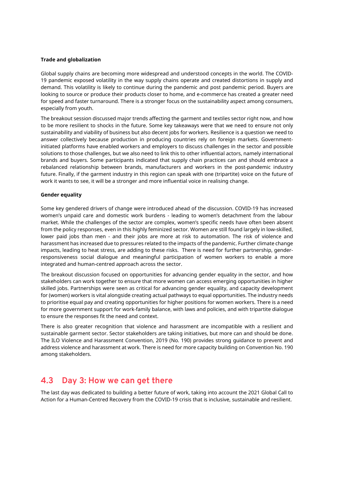#### **Trade and globalization**

Global supply chains are becoming more widespread and understood concepts in the world. The COVID-19 pandemic exposed volatility in the way supply chains operate and created distortions in supply and demand. This volatility is likely to continue during the pandemic and post pandemic period. Buyers are looking to source or produce their products closer to home, and e-commerce has created a greater need for speed and faster turnaround. There is a stronger focus on the sustainability aspect among consumers, especially from youth.

The breakout session discussed major trends affecting the garment and textiles sector right now, and how to be more resilient to shocks in the future. Some key takeaways were that we need to ensure not only sustainability and viability of business but also decent jobs for workers. Resilience is a question we need to answer collectively because production in producing countries rely on foreign markets. Governmentinitiated platforms have enabled workers and employers to discuss challenges in the sector and possible solutions to those challenges, but we also need to link this to other influential actors, namely international brands and buyers. Some participants indicated that supply chain practices can and should embrace a rebalanced relationship between brands, manufacturers and workers in the post-pandemic industry future. Finally, if the garment industry in this region can speak with one (tripartite) voice on the future of work it wants to see, it will be a stronger and more influential voice in realising change.

#### **Gender equality**

Some key gendered drivers of change were introduced ahead of the discussion. COVID-19 has increased women's unpaid care and domestic work burdens - leading to women's detachment from the labour market. While the challenges of the sector are complex, women's specific needs have often been absent from the policy responses, even in this highly feminized sector. Women are still found largely in low-skilled, lower paid jobs than men - and their jobs are more at risk to automation. The risk of violence and harassment has increased due to pressures related to the impacts of the pandemic. Further climate change impacts, leading to heat stress, are adding to these risks. There is need for further partnership, genderresponsiveness social dialogue and meaningful participation of women workers to enable a more integrated and human-centred approach across the sector.

The breakout discussion focused on opportunities for advancing gender equality in the sector, and how stakeholders can work together to ensure that more women can access emerging opportunities in higher skilled jobs. Partnerships were seen as critical for advancing gender equality, and capacity development for (women) workers is vital alongside creating actual pathways to equal opportunities. The industry needs to prioritise equal pay and creating opportunities for higher positions for women workers. There is a need for more government support for work-family balance, with laws and policies, and with tripartite dialogue to ensure the responses fit the need and context.

There is also greater recognition that violence and harassment are incompatible with a resilient and sustainable garment sector. Sector stakeholders are taking initiatives, but more can and should be done. The ILO Violence and Harassment Convention, 2019 (No. 190) provides strong guidance to prevent and address violence and harassment at work. There is need for more capacity building on Convention No. 190 among stakeholders.

### **4.3 Day 3: How we can get there**

The last day was dedicated to building a better future of work, taking into account the 2021 Global Call to Action for a Human-Centred Recovery from the COVID-19 crisis that is inclusive, sustainable and resilient.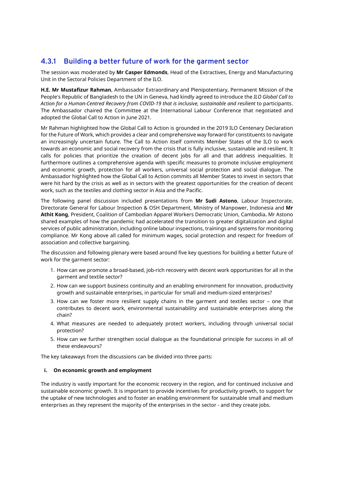### **4.3.1 Building a better future of work for the garment sector**

The session was moderated by **Mr Casper Edmonds**, Head of the Extractives, Energy and Manufacturing Unit in the Sectoral Policies Department of the ILO.

**H.E. Mr Mustafizur Rahman**, Ambassador Extraordinary and Plenipotentiary, Permanent Mission of the People's Republic of Bangladesh to the UN in Geneva, had kindly agreed to introduce the *ILO Global Call to Action for a Human-Centred Recovery from COVID-19 that is inclusive, sustainable and resilient* to participants. The Ambassador chaired the Committee at the International Labour Conference that negotiated and adopted the Global Call to Action in June 2021.

Mr Rahman highlighted how the Global Call to Action is grounded in the 2019 ILO Centenary Declaration for the Future of Work, which provides a clear and comprehensive way forward for constituents to navigate an increasingly uncertain future. The Call to Action itself commits Member States of the ILO to work towards an economic and social recovery from the crisis that is fully inclusive, sustainable and resilient. It calls for policies that prioritize the creation of decent jobs for all and that address inequalities. It furthermore outlines a comprehensive agenda with specific measures to promote inclusive employment and economic growth, protection for all workers, universal social protection and social dialogue. The Ambassador highlighted how the Global Call to Action commits all Member States to invest in sectors that were hit hard by the crisis as well as in sectors with the greatest opportunities for the creation of decent work, such as the textiles and clothing sector in Asia and the Pacific.

The following panel discussion included presentations from **Mr Sudi Astono**, Labour Inspectorate, Directorate General for Labour Inspection & OSH Department, Ministry of Manpower, Indonesia and **Mr Athit Kong**, President, Coalition of Cambodian Apparel Workers Democratic Union, Cambodia**.** Mr Astono shared examples of how the pandemic had accelerated the transition to greater digitalization and digital services of public administration, including online labour inspections, trainings and systems for monitoring compliance. Mr Kong above all called for minimum wages, social protection and respect for freedom of association and collective bargaining.

The discussion and following plenary were based around five key questions for building a better future of work for the garment sector:

- 1. How can we promote a broad-based, job-rich recovery with decent work opportunities for all in the garment and textile sector?
- 2. How can we support business continuity and an enabling environment for innovation, productivity growth and sustainable enterprises, in particular for small and medium-sized enterprises?
- 3. How can we foster more resilient supply chains in the garment and textiles sector one that contributes to decent work, environmental sustainability and sustainable enterprises along the chain?
- 4. What measures are needed to adequately protect workers, including through universal social protection?
- 5. How can we further strengthen social dialogue as the foundational principle for success in all of these endeavours?

The key takeaways from the discussions can be divided into three parts:

#### **i. On economic growth and employment**

The industry is vastly important for the economic recovery in the region, and for continued inclusive and sustainable economic growth. It is important to provide incentives for productivity growth, to support for the uptake of new technologies and to foster an enabling environment for sustainable small and medium enterprises as they represent the majority of the enterprises in the sector - and they create jobs.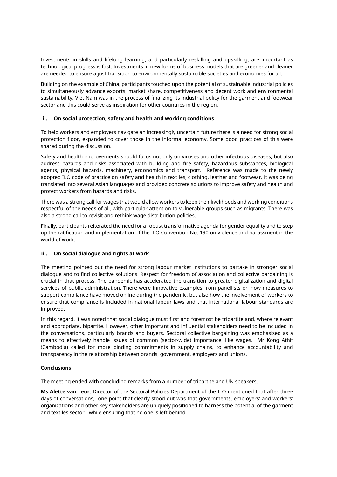Investments in skills and lifelong learning, and particularly reskilling and upskilling, are important as technological progress is fast. Investments in new forms of business models that are greener and cleaner are needed to ensure a just transition to environmentally sustainable societies and economies for all.

Building on the example of China, participants touched upon the potential of sustainable industrial policies to simultaneously advance exports, market share, competitiveness and decent work and environmental sustainability. Viet Nam was in the process of finalizing its industrial policy for the garment and footwear sector and this could serve as inspiration for other countries in the region.

#### **ii. On social protection, safety and health and working conditions**

To help workers and employers navigate an increasingly uncertain future there is a need for strong social protection floor, expanded to cover those in the informal economy. Some good practices of this were shared during the discussion.

Safety and health improvements should focus not only on viruses and other infectious diseases, but also address hazards and risks associated with building and fire safety, hazardous substances, biological agents, physical hazards, machinery, ergonomics and transport. Reference was made to the newly adopted ILO code of practice on safety and health in textiles, clothing, leather and footwear. It was being translated into several Asian languages and provided concrete solutions to improve safety and health and protect workers from hazards and risks.

There was a strong call for wages that would allow workers to keep their livelihoods and working conditions respectful of the needs of all, with particular attention to vulnerable groups such as migrants. There was also a strong call to revisit and rethink wage distribution policies.

Finally, participants reiterated the need for a robust transformative agenda for gender equality and to step up the ratification and implementation of the ILO Convention No. 190 on violence and harassment in the world of work.

#### **iii. On social dialogue and rights at work**

The meeting pointed out the need for strong labour market institutions to partake in stronger social dialogue and to find collective solutions. Respect for freedom of association and collective bargaining is crucial in that process. The pandemic has accelerated the transition to greater digitalization and digital services of public administration. There were innovative examples from panellists on how measures to support compliance have moved online during the pandemic, but also how the involvement of workers to ensure that compliance is included in national labour laws and that international labour standards are improved.

In this regard, it was noted that social dialogue must first and foremost be tripartite and, where relevant and appropriate, bipartite. However, other important and influential stakeholders need to be included in the conversations, particularly brands and buyers. Sectoral collective bargaining was emphasised as a means to effectively handle issues of common (sector-wide) importance, like wages. Mr Kong Athit (Cambodia) called for more binding commitments in supply chains, to enhance accountability and transparency in the relationship between brands, government, employers and unions.

#### **Conclusions**

The meeting ended with concluding remarks from a number of tripartite and UN speakers.

**Ms Alette van Leur**, Director of the Sectoral Policies Department of the ILO mentioned that after three days of conversations, one point that clearly stood out was that governments, employers' and workers' organizations and other key stakeholders are uniquely positioned to harness the potential of the garment and textiles sector - while ensuring that no one is left behind.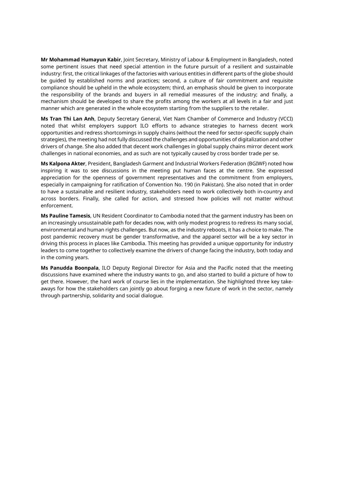**Mr Mohammad Humayun Kabir**, Joint Secretary, Ministry of Labour & Employment in Bangladesh, noted some pertinent issues that need special attention in the future pursuit of a resilient and sustainable industry: first, the critical linkages of the factories with various entities in different parts of the globe should be guided by established norms and practices; second, a culture of fair commitment and requisite compliance should be upheld in the whole ecosystem; third, an emphasis should be given to incorporate the responsibility of the brands and buyers in all remedial measures of the industry; and finally, a mechanism should be developed to share the profits among the workers at all levels in a fair and just manner which are generated in the whole ecosystem starting from the suppliers to the retailer.

**Ms Tran Thi Lan Anh**, Deputy Secretary General, Viet Nam Chamber of Commerce and Industry (VCCI) noted that whilst employers support ILO efforts to advance strategies to harness decent work opportunities and redress shortcomings in supply chains (without the need for sector-specific supply chain strategies), the meeting had not fully discussed the challenges and opportunities of digitalization and other drivers of change. She also added that decent work challenges in global supply chains mirror decent work challenges in national economies, and as such are not typically caused by cross border trade per se.

**Ms Kalpona Akter**, President, Bangladesh Garment and Industrial Workers Federation (BGIWF) noted how inspiring it was to see discussions in the meeting put human faces at the centre. She expressed appreciation for the openness of government representatives and the commitment from employers, especially in campaigning for ratification of Convention No. 190 (in Pakistan). She also noted that in order to have a sustainable and resilient industry, stakeholders need to work collectively both in-country and across borders. Finally, she called for action, and stressed how policies will not matter without enforcement.

**Ms Pauline Tamesis**, UN Resident Coordinator to Cambodia noted that the garment industry has been on an increasingly unsustainable path for decades now, with only modest progress to redress its many social, environmental and human rights challenges. But now, as the industry reboots, it has a choice to make. The post pandemic recovery must be gender transformative, and the apparel sector will be a key sector in driving this process in places like Cambodia. This meeting has provided a unique opportunity for industry leaders to come together to collectively examine the drivers of change facing the industry, both today and in the coming years.

**Ms Panudda Boonpala**, ILO Deputy Regional Director for Asia and the Pacific noted that the meeting discussions have examined where the industry wants to go, and also started to build a picture of how to get there. However, the hard work of course lies in the implementation. She highlighted three key takeaways for how the stakeholders can jointly go about forging a new future of work in the sector, namely through partnership, solidarity and social dialogue.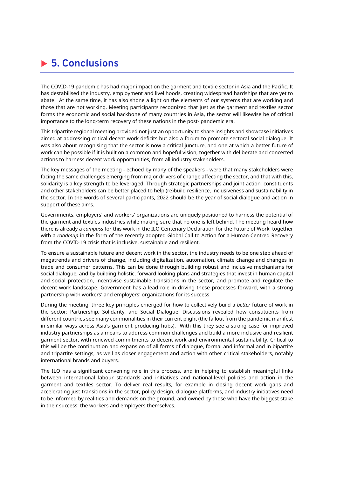# **5. Conclusions**

The COVID-19 pandemic has had major impact on the garment and textile sector in Asia and the Pacific. It has destabilised the industry, employment and livelihoods, creating widespread hardships that are yet to abate. At the same time, it has also shone a light on the elements of our systems that are working and those that are not working. Meeting participants recognized that just as the garment and textiles sector forms the economic and social backbone of many countries in Asia, the sector will likewise be of critical importance to the long-term recovery of these nations in the post- pandemic era.

This tripartite regional meeting provided not just an opportunity to share insights and showcase initiatives aimed at addressing critical decent work deficits but also a forum to promote sectoral social dialogue. It was also about recognising that the sector is now a critical juncture, and one at which a better future of work can be possible if it is built on a common and hopeful vision, together with deliberate and concerted actions to harness decent work opportunities, from all industry stakeholders.

The key messages of the meeting - echoed by many of the speakers - were that many stakeholders were facing the same challenges emerging from major drivers of change affecting the sector, and that with this, solidarity is a key strength to be leveraged. Through strategic partnerships and joint action, constituents and other stakeholders can be better placed to help (re)build resilience, inclusiveness and sustainability in the sector. In the words of several participants, 2022 should be the year of social dialogue and action in support of these aims.

Governments, employers' and workers' organizations are uniquely positioned to harness the potential of the garment and textiles industries while making sure that no one is left behind. The meeting heard how there is already a *compass* for this work in the ILO Centenary Declaration for the Future of Work, together with a *roadmap* in the form of the recently adopted Global Call to Action for a Human-Centred Recovery from the COVID-19 crisis that is inclusive, sustainable and resilient.

To ensure a sustainable future and decent work in the sector, the industry needs to be one step ahead of megatrends and drivers of change, including digitalization, automation, climate change and changes in trade and consumer patterns. This can be done through building robust and inclusive mechanisms for social dialogue, and by building holistic, forward looking plans and strategies that invest in human capital and social protection, incentivise sustainable transitions in the sector, and promote and regulate the decent work landscape. Government has a lead role in driving these processes forward, with a strong partnership with workers' and employers' organizations for its success.

During the meeting, three key principles emerged for how to collectively build a *better* future of work in the sector: Partnership, Solidarity, and Social Dialogue. Discussions revealed how constituents from different countries see many commonalities in their current plight (the fallout from the pandemic manifest in similar ways across Asia's garment producing hubs). With this they see a strong case for improved industry partnerships as a means to address common challenges and build a more inclusive and resilient garment sector, with renewed commitments to decent work and environmental sustainability. Critical to this will be the continuation and expansion of all forms of dialogue, formal and informal and in bipartite and tripartite settings, as well as closer engagement and action with other critical stakeholders, notably international brands and buyers.

The ILO has a significant convening role in this process, and in helping to establish meaningful links between international labour standards and initiatives and national-level policies and action in the garment and textiles sector. To deliver real results, for example in closing decent work gaps and accelerating just transitions in the sector, policy design, dialogue platforms, and industry initiatives need to be informed by realities and demands on the ground, and owned by those who have the biggest stake in their success: the workers and employers themselves.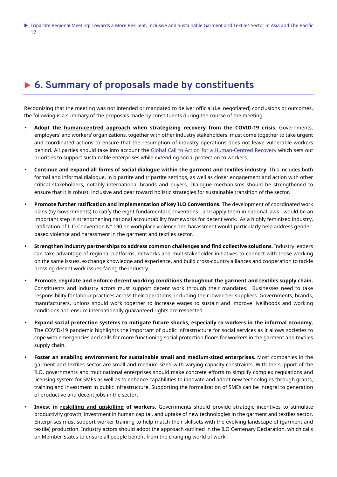# ▶ 6. Summary of proposals made by constituents

Recognizing that the meeting was not intended or mandated to deliver official (i.e. negotiated) conclusions or outcomes, the following is a summary of the proposals made by constituents during the course of the meeting.

- **Adopt the human-centred approach when strategizing recovery from the COVID-19 crisis**. Governments, employers' and workers' organizations, together with other industry stakeholders, must come together to take urgent and coordinated actions to ensure that the resumption of industry operations does not leave vulnerable workers behind. All parties should take into account the Global Call to Action for a Human-Centred Recovery which sets out priorities to support sustainable enterprises while extending social protection to workers.
- **Continue and expand all forms of social dialogue within the garment and textiles industry**. This includes both formal and informal dialogue, in bipartite and tripartite settings, as well as closer engagement and action with other critical stakeholders, notably international brands and buyers. Dialogue mechanisms should be strengthened to ensure that it is robust, inclusive and gear toward holistic strategies for sustainable transition of the sector.
- **Promote further ratification and implementation of key ILO Conventions.** The development of coordinated work plans (by Governments) to ratify the eight fundamental Conventions - and apply them in national laws - would be an important step in strengthening national accountability frameworks for decent work. As a highly feminized industry, ratification of ILO Convention N° 190 on workplace violence and harassment would particularly help address genderbased violence and harassment in the garment and textiles sector.
- **Strengthen industry partnerships to address common challenges and find collective solutions**. Industry leaders can take advantage of regional platforms, networks and multistakeholder initiatives to connect with those working on the same issues, exchange knowledge and experience, and build cross-country alliances and cooperation to tackle pressing decent work issues facing the industry.
- **Promote, regulate and enforce decent working conditions throughout the garment and textiles supply chain.**  Constituents and industry actors must support decent work through their mandates. Businesses need to take responsibility for labour practices across their operations, including their lower-tier suppliers. Governments, brands, manufacturers, unions should work together to increase wages to sustain and improve livelihoods and working conditions and ensure internationally guaranteed rights are respected.
- **Expand social protection systems to mitigate future shocks, especially to workers in the informal economy.** The COVID-19 pandemic highlights the important of public infrastructure for social services as it allows societies to cope with emergencies and calls for more functioning social protection floors for workers in the garment and textiles supply chain.
- **Foster an enabling environment for sustainable small and medium-sized enterprises.** Most companies in the garment and textiles sector are small and medium-sized with varying capacity-constraints. With the support of the ILO, governments and multinational enterprises should make concrete efforts to simplify complex regulations and licensing system for SMEs as well as to enhance capabilities to innovate and adopt new technologies through grants, training and investment in public infrastructure. Supporting the formalization of SMEs can be integral to generation of productive and decent jobs in the sector.
- **Invest in reskilling and upskilling of workers.** Governments should provide strategic incentives to stimulate productivity growth, investment in human capital, and uptake of new technologies in the garment and textiles sector. Enterprises must support worker training to help match their skillsets with the evolving landscape of (garment and textile) production. Industry actors should adopt the approach outlined in the ILO Centenary Declaration, which calls on Member States to ensure all people benefit from the changing world of work.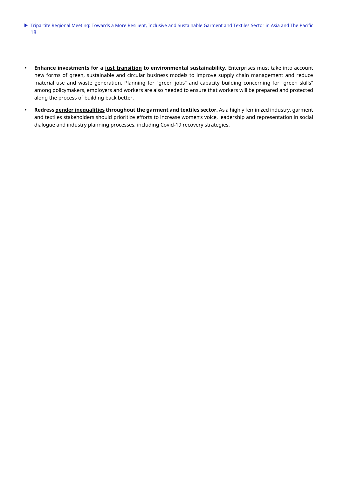- Tripartite Regional Meeting: Towards a More Resilient, Inclusive and Sustainable Garment and Textiles Sector in Asia and The Pacific 18
- **Enhance investments for a just transition to environmental sustainability.** Enterprises must take into account new forms of green, sustainable and circular business models to improve supply chain management and reduce material use and waste generation. Planning for "green jobs" and capacity building concerning for "green skills" among policymakers, employers and workers are also needed to ensure that workers will be prepared and protected along the process of building back better.
- **Redress gender inequalities throughout the garment and textiles sector.** As a highly feminized industry, garment and textiles stakeholders should prioritize efforts to increase women's voice, leadership and representation in social dialogue and industry planning processes, including Covid-19 recovery strategies.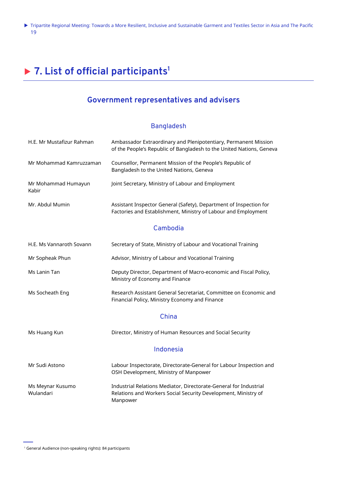# **7. List of official participants<sup>1</sup>**

# **Government representatives and advisers**

#### Bangladesh

| H.E. Mr Mustafizur Rahman     | Ambassador Extraordinary and Plenipotentiary, Permanent Mission<br>of the People's Republic of Bangladesh to the United Nations, Geneva         |
|-------------------------------|-------------------------------------------------------------------------------------------------------------------------------------------------|
| Mr Mohammad Kamruzzaman       | Counsellor, Permanent Mission of the People's Republic of<br>Bangladesh to the United Nations, Geneva                                           |
| Mr Mohammad Humayun<br>Kabir  | Joint Secretary, Ministry of Labour and Employment                                                                                              |
| Mr. Abdul Mumin               | Assistant Inspector General (Safety), Department of Inspection for<br>Factories and Establishment, Ministry of Labour and Employment            |
|                               | Cambodia                                                                                                                                        |
| H.E. Ms Vannaroth Sovann      | Secretary of State, Ministry of Labour and Vocational Training                                                                                  |
| Mr Sopheak Phun               | Advisor, Ministry of Labour and Vocational Training                                                                                             |
| Ms Lanin Tan                  | Deputy Director, Department of Macro-economic and Fiscal Policy,<br>Ministry of Economy and Finance                                             |
| Ms Socheath Eng               | Research Assistant General Secretariat, Committee on Economic and<br>Financial Policy, Ministry Economy and Finance                             |
|                               | China                                                                                                                                           |
| Ms Huang Kun                  | Director, Ministry of Human Resources and Social Security                                                                                       |
|                               | Indonesia                                                                                                                                       |
| Mr Sudi Astono                | Labour Inspectorate, Directorate-General for Labour Inspection and<br>OSH Development, Ministry of Manpower                                     |
| Ms Meynar Kusumo<br>Wulandari | Industrial Relations Mediator, Directorate-General for Industrial<br>Relations and Workers Social Security Development, Ministry of<br>Manpower |

<sup>1</sup> General Audience (non-speaking rights): 84 participants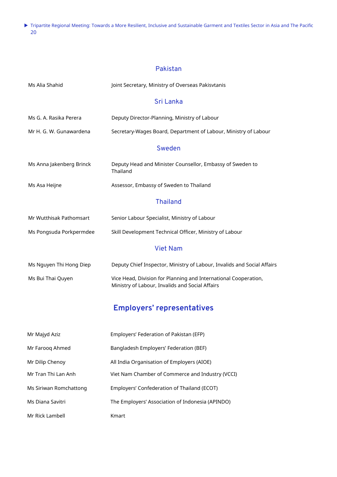#### Pakistan

| Ms Alia Shahid           | Joint Secretary, Ministry of Overseas Pakisvtanis                                                                  |
|--------------------------|--------------------------------------------------------------------------------------------------------------------|
|                          | Sri Lanka                                                                                                          |
| Ms G. A. Rasika Perera   | Deputy Director-Planning, Ministry of Labour                                                                       |
| Mr H. G. W. Gunawardena  | Secretary-Wages Board, Department of Labour, Ministry of Labour                                                    |
|                          | Sweden                                                                                                             |
| Ms Anna Jakenberg Brinck | Deputy Head and Minister Counsellor, Embassy of Sweden to<br>Thailand                                              |
| Ms Asa Heijne            | Assessor, Embassy of Sweden to Thailand                                                                            |
|                          | <b>Thailand</b>                                                                                                    |
| Mr Wutthisak Pathomsart  | Senior Labour Specialist, Ministry of Labour                                                                       |
| Ms Pongsuda Porkpermdee  | Skill Development Technical Officer, Ministry of Labour                                                            |
|                          | <b>Viet Nam</b>                                                                                                    |
| Ms Nguyen Thi Hong Diep  | Deputy Chief Inspector, Ministry of Labour, Invalids and Social Affairs                                            |
| Ms Bui Thai Quyen        | Vice Head, Division for Planning and International Cooperation,<br>Ministry of Labour, Invalids and Social Affairs |
|                          | <b>Employers' representatives</b>                                                                                  |
| Mr Majyd Aziz            | Employers' Federation of Pakistan (EFP)                                                                            |
| Mr Farooq Ahmed          | Bangladesh Employers' Federation (BEF)                                                                             |
| Mr Dilip Chenoy          | All India Organisation of Employers (AIOE)                                                                         |
| Mr Tran Thi Lan Anh      | Viet Nam Chamber of Commerce and Industry (VCCI)                                                                   |
| Ms Siriwan Romchattong   | Employers' Confederation of Thailand (ECOT)                                                                        |
| Ms Diana Savitri         | The Employers' Association of Indonesia (APINDO)                                                                   |
| Mr Rick Lambell          | Kmart                                                                                                              |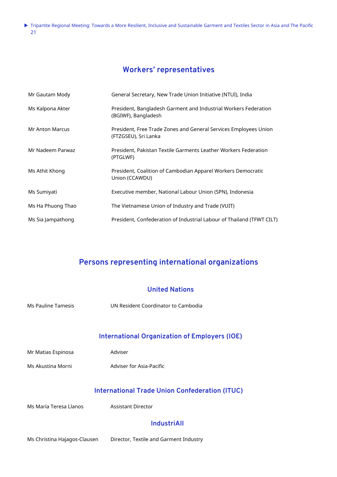# **Workers' representatives**

| Mr Gautam Mody    | General Secretary, New Trade Union Initiative (NTUI), India                              |
|-------------------|------------------------------------------------------------------------------------------|
| Ms Kalpona Akter  | President, Bangladesh Garment and Industrial Workers Federation<br>(BGIWF), Bangladesh   |
| Mr Anton Marcus   | President, Free Trade Zones and General Services Employees Union<br>(FTZGSEU), Sri Lanka |
| Mr Nadeem Parwaz  | President, Pakistan Textile Garments Leather Workers Federation<br>(PTGLWF)              |
| Ms Athit Khong    | President, Coalition of Cambodian Apparel Workers Democratic<br>Union (CCAWDU)           |
| Ms Sumiyati       | Executive member, National Labour Union (SPN), Indonesia                                 |
| Ms Ha Phuong Thao | The Vietnamese Union of Industry and Trade (VUIT)                                        |
| Ms Sia Jampathong | President, Confederation of Industrial Labour of Thailand (TFWT CILT)                    |

# **Persons representing international organizations**

|                           | <b>United Nations</b>                                                              |
|---------------------------|------------------------------------------------------------------------------------|
| <b>Ms Pauline Tamesis</b> | UN Resident Coordinator to Cambodia                                                |
|                           | <b>International Organization of Employers (IOE)</b>                               |
| Mr Matias Espinosa        | Adviser                                                                            |
| Ms Akustina Morni         | Adviser for Asia-Pacific                                                           |
| Ms María Teresa Llanos    | <b>International Trade Union Confederation (ITUC)</b><br><b>Assistant Director</b> |
|                           | <b>IndustriAll</b>                                                                 |
|                           |                                                                                    |

Ms Christina Hajagos-Clausen Director, Textile and Garment Industry